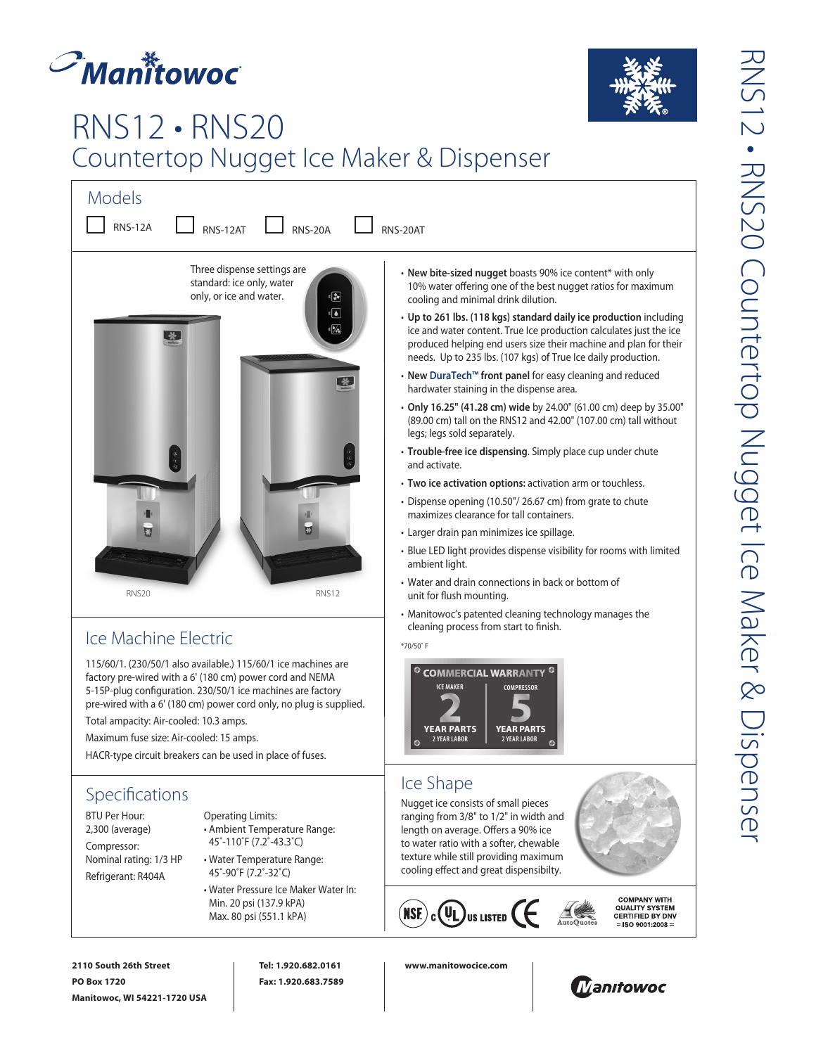



## RNS12 • RNS20 Countertop Nugget Ice Maker & Dispenser

| <b>Models</b>                                                                                           |                                                                                                                                                                                                                                                           |
|---------------------------------------------------------------------------------------------------------|-----------------------------------------------------------------------------------------------------------------------------------------------------------------------------------------------------------------------------------------------------------|
| <b>RNS-12A</b><br><b>RNS-12AT</b><br><b>RNS-20A</b>                                                     | RNS-20AT                                                                                                                                                                                                                                                  |
| Three dispense settings are<br>standard: ice only, water<br>only, or ice and water.<br>$\ddot{\bullet}$ | • New bite-sized nugget boasts 90% ice content* with only<br>10% water offering one of the best nugget ratios for maxin<br>cooling and minimal drink dilution.                                                                                            |
| $\sqrt{2}$<br>$\sqrt{2}$                                                                                | • Up to 261 lbs. (118 kgs) standard daily ice production inc<br>ice and water content. True Ice production calculates just t<br>produced helping end users size their machine and plan fo<br>needs. Up to 235 lbs. (107 kgs) of True Ice daily production |
| 光                                                                                                       | • New DuraTech™ front panel for easy cleaning and reduce<br>hardwater staining in the dispense area.                                                                                                                                                      |
|                                                                                                         | • Only 16.25" (41.28 cm) wide by 24.00" (61.00 cm) deep by<br>(89.00 cm) tall on the RNS12 and 42.00" (107.00 cm) tall wit<br>legs; legs sold separately.                                                                                                 |
|                                                                                                         | · Trouble-free ice dispensing. Simply place cup under chute<br>and activate.                                                                                                                                                                              |
|                                                                                                         | • Two ice activation options: activation arm or touchless.                                                                                                                                                                                                |
|                                                                                                         | • Dispense opening (10.50"/26.67 cm) from grate to chute<br>maximizes clearance for tall containers.                                                                                                                                                      |
|                                                                                                         | · Larger drain pan minimizes ice spillage.                                                                                                                                                                                                                |
|                                                                                                         | • Blue LED light provides dispense visibility for rooms with li<br>ambient light.                                                                                                                                                                         |
| <b>RNS20</b><br>RNS12                                                                                   | • Water and drain connections in back or bottom of<br>unit for flush mounting.                                                                                                                                                                            |
| $l \geq 1$                                                                                              | • Manitowoc's patented cleaning technology manages the<br>cleaning process from start to finish.                                                                                                                                                          |
|                                                                                                         |                                                                                                                                                                                                                                                           |

Ice Machine Electric

115/60/1. (230/50/1 also available.) 115/60/1 ice machines are factory pre-wired with a 6' (180 cm) power cord and NEMA 5-15P-plug configuration. 230/50/1 ice machines are factory pre-wired with a 6' (180 cm) power cord only, no plug is supplied. Total ampacity: Air-cooled: 10.3 amps.

Maximum fuse size: Air-cooled: 15 amps.

HACR-type circuit breakers can be used in place of fuses.

## **Specifications**

BTU Per Hour: 2,300 (average) Compressor: Nominal rating: 1/3 HP Refrigerant: R404A

Operating Limits: • Ambient Temperature Range: 45˚-110˚F (7.2˚-43.3˚C)

- Water Temperature Range: 45˚-90˚F (7.2˚-32˚C)
- Water Pressure Ice Maker Water In: Min. 20 psi (137.9 kPA) Max. 80 psi (551.1 kPA)
- $\overline{\text{aximum}}$
- **n** including ust the ice an for their needs. Up to 235 lbs. (107 kgs) of True Ice daily production.
- **New DuraTech™ front panel** for easy cleaning and reduced
- **Only 16.25" (41.28 cm) wide** by 24.00" (61.00 cm) deep by 35.00" ll without
- **Trouble-free ice dispensing**. Simply place cup under chute
- **Two ice activation options:** activation arm or touchless.
- Dispense opening (10.50"/ 26.67 cm) from grate to chute
- ith limited
- Manitowoc's patented cleaning technology manages the

\*70/50˚ F



## Ice Shape

Nugget ice consists of small pieces ranging from 3/8" to 1/2" in width and length on average. Offers a 90% ice to water ratio with a softer, chewable texture while still providing maximum cooling effect and great dispensibilty.





**COMPANY WITH<br>QUALITY SYSTEM<br>CERTIFIED BY DNV**  $=$  ISO 9001:2008  $=$ 

**2110 South 26th Street PO Box 1720 Manitowoc, WI 54221-1720 USA** **Tel: 1.920.682.0161 Fax: 1.920.683.7589**

**www.manitowocice.com**